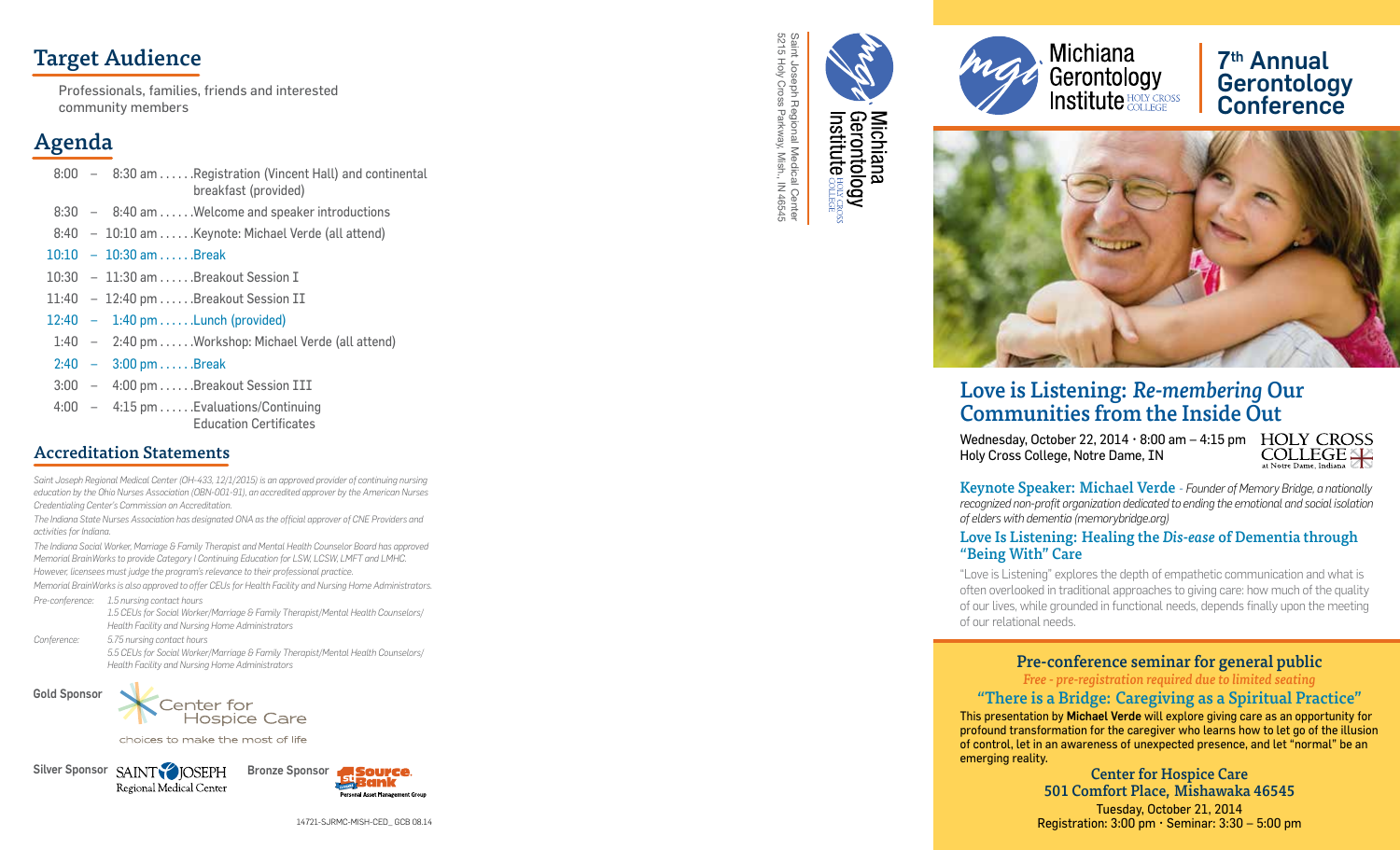# Target Audience

Professionals, families, friends and interested community members

# Agenda

- 8:00 8:30 am . . . . . .Registration (Vincent Hall) and continental breakfast (provided)
- 8:30 – 8:40 am . . . . . .Welcome and speaker introductions
- 8:40 – 10:10 am . . . . . .Keynote: Michael Verde (all attend)
- 10:10  $-10:30$  am  $\dots$  . Break
- 10:30 – 11:30 am . . . . . .Breakout Session I
- 11:40 - 12:40 pm . . . . . Breakout Session II
- 12:40 1:40 pm . . . . . .Lunch (provided)
- 1:40 – 2:40 pm . . . . . .Workshop: Michael Verde (all attend)
- 2:40  $-3:00 \text{ pm} \dots$ . Break
- 3:00 – 4:00 pm . . . . . .Breakout Session III
- 4:00 – 4:15 pm . . . . . .Evaluations/Continuing Education Certificates

## Accreditation Statements

Saint Joseph Regional Medical Center (OH-433, 12/1/2015) is an approved provider of continuing nursing *education by the Ohio Nurses Association (OBN-001-91), an accredited approver by the American Nurses Credentialing Center's Commission on Accreditation.*

*The Indiana State Nurses Association has designated ONA as the official approver of CNE Providers and activities for Indiana.*

*The Indiana Social Worker, Marriage & Family Therapist and Mental Health Counselor Board has approved Memorial BrainWorks to provide Category I Continuing Education for LSW, LCSW, LMFT and LMHC. However, licensees must judge the program's relevance to their professional practice.*

*Memorial BrainWorks is also approved to offer CEUs for Health Facility and Nursing Home Administrators.* 

*Pre-conference: 1.5 nursing contact hours 1.5 CEUs for Social Worker/Marriage & Family Therapist/Mental Health Counselors/ Health Facility and Nursing Home Administrators*

*Conference: 5.75 nursing contact hours 5.5 CEUs for Social Worker/Marriage & Family Therapist/Mental Health Counselors/ Health Facility and Nursing Home Administrators*

Gold Sponsor



choices to make the most of life

Silver Sponsor SAINT DISEPH Bronze Sponsor Regional Medical Center



5215 Holy Cross Parkway, Mish., IN 46545 Saint Joseph Regional Medical Center Saint Joseph Regional Medical Center<br>5215 Holy Cross Parkway, Mish., IN 46545

Michiana<br>Gerontology<br>Institute <sup>accrea</sup>



# 7th Annual **Gerontology** Conference



# Love is Listening: *Re-membering* Our Communities from the Inside Ou t

Wednesday, October 22, 2014  $\cdot$  8:00 am  $-$  4:15 pm  $\cdot$  HOLY CROSS Holy Cross College, Notre Dame, IN

**COLLEGE** 

Keynote Speaker: Michael Verde *- Founder of Memory Bridge, a nationally recognized non-profit organization dedicated to ending the emotional and social isolation of elders with dementia (memorybridge.org)*

### Love Is Listening: Healing the *Dis-ease* of Dementia through "Being With" Care

"Love is Listening" explores the depth of empathetic communication and what is often overlooked in traditional approaches to giving care: how much of the quality of our lives, while grounded in functional needs, depends finally upon the meeting of our relational needs.

## Pre-conference seminar for general public

*Free - pre-registration required due to limited seating*

"There is a Bridge: Caregiving as a Spiritual Practice" This presentation by Michael Verde will explore giving care as an opportunity for profound transformation for the caregiver who learns how to let go of the illusion of control, let in an awareness of unexpected presence, and let "normal" be an emerging reality.

Center for Hospice Care 501 Comfort Place, Mishawaka 46545 Tuesday, October 21, 2014 Registration: 3:00 pm • Seminar: 3:30 – 5:00 pm

14721-SJRMC-MISH-CED\_ GCB 08.14